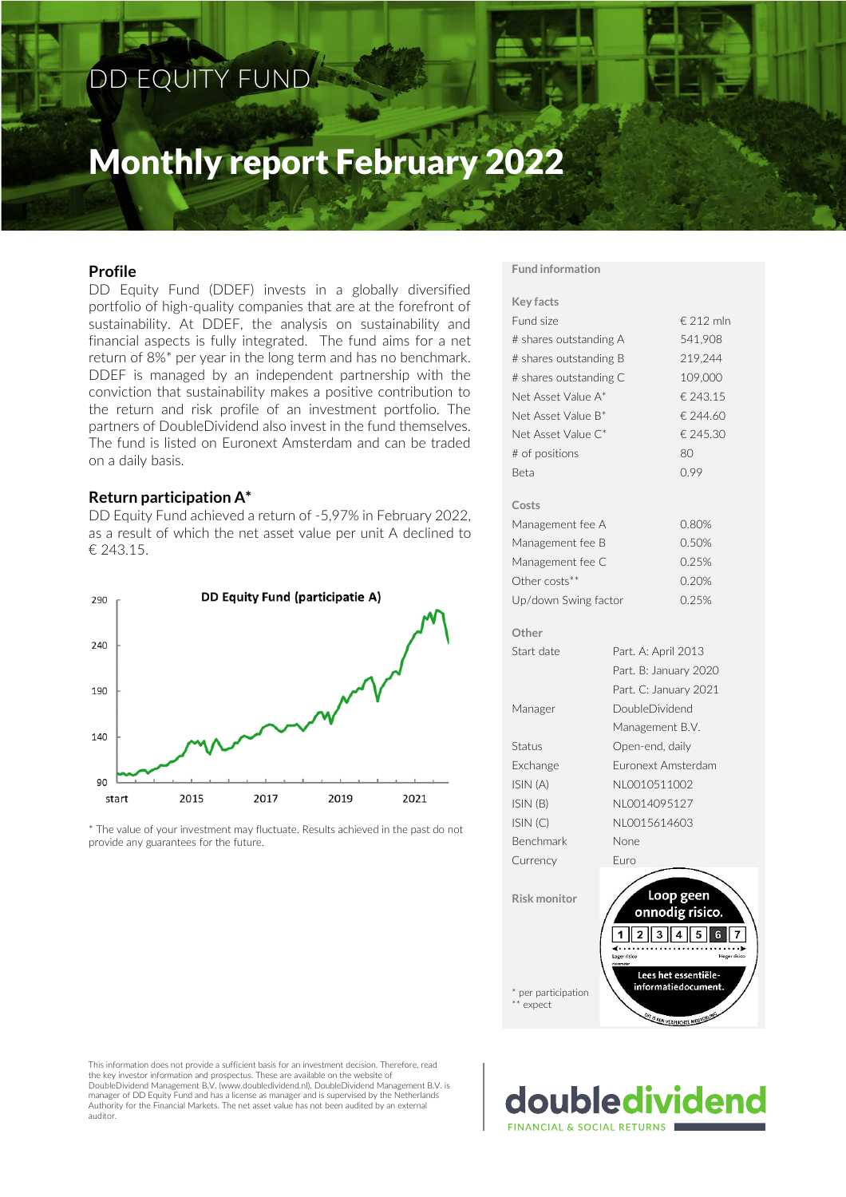### DD EQUITY FUND

# Monthly report February 2022

#### **Profile**

DD Equity Fund (DDEF) invests in a globally diversified portfolio of high-quality companies that are at the forefront of sustainability. At DDEF, the analysis on sustainability and financial aspects is fully integrated. The fund aims for a net return of 8%\* per year in the long term and has no benchmark. DDEF is managed by an independent partnership with the conviction that sustainability makes a positive contribution to the return and risk profile of an investment portfolio. The partners of DoubleDividend also invest in the fund themselves. The fund is listed on Euronext Amsterdam and can be traded on a daily basis.

#### **Return participation A\***

DD Equity Fund achieved a return of -5,97% in February 2022, as a result of which the net asset value per unit A declined to € 243.15.



\* The value of your investment may fluctuate. Results achieved in the past do not provide any guarantees for the future.

#### **Fund information**

**Costs**

**Other**

| <b>Key facts</b>                   |                       |                                             |  |  |
|------------------------------------|-----------------------|---------------------------------------------|--|--|
| Fund size                          |                       | € 212 mln                                   |  |  |
| # shares outstanding A             | 541,908               |                                             |  |  |
| # shares outstanding B             | 219,244               |                                             |  |  |
| # shares outstanding C             | 109,000               |                                             |  |  |
| Net Asset Value A*                 |                       | € 243.15                                    |  |  |
| Net Asset Value B*                 |                       | € 244.60                                    |  |  |
| Net Asset Value C*                 |                       | € 245.30                                    |  |  |
| # of positions                     |                       | 80                                          |  |  |
| <b>Beta</b>                        |                       | 0.99                                        |  |  |
| Costs                              |                       |                                             |  |  |
| Management fee A                   |                       | 0.80%                                       |  |  |
| Management fee B                   |                       | 0.50%                                       |  |  |
| Management fee C                   |                       | 0.25%                                       |  |  |
| Other costs**                      |                       | 0.20%                                       |  |  |
| Up/down Swing factor               |                       | 0.25%                                       |  |  |
| Other                              |                       |                                             |  |  |
| Start date                         | Part. A: April 2013   |                                             |  |  |
|                                    | Part. B: January 2020 |                                             |  |  |
|                                    | Part. C: January 2021 |                                             |  |  |
| Manager                            | DoubleDividend        |                                             |  |  |
|                                    | Management B.V.       |                                             |  |  |
| Status                             | Open-end, daily       |                                             |  |  |
| Exchange                           | Euronext Amsterdam    |                                             |  |  |
| ISIN (A)                           | NL0010511002          |                                             |  |  |
| ISIN (B)                           | NL0014095127          |                                             |  |  |
| ISIN(C)                            | NL0015614603          |                                             |  |  |
| Benchmark                          | None                  |                                             |  |  |
| Currency                           | Euro                  |                                             |  |  |
|                                    |                       |                                             |  |  |
| <b>Risk monitor</b>                |                       | Loop geen                                   |  |  |
|                                    |                       | onnodig risico.                             |  |  |
|                                    |                       |                                             |  |  |
|                                    | .<br>Lager risico     | <b>Hoger</b> risio                          |  |  |
|                                    |                       | Lees het essentiële-<br>informatiedocument. |  |  |
| * per participation<br>$**$ expect |                       |                                             |  |  |
|                                    | $\frac{D_{17}}{55}$   | <b>FORUNG</b>                               |  |  |

This information does not provide a sufficient basis for an investment decision. Therefore, read the key investor information and prospectus. These are available on the website of DoubleDividend Management B.V. (www.doubledividend.nl). DoubleDividend Management B.V. is manager of DD Equity Fund and has a license as manager and is supervised by the Netherlands Authority for the Financial Markets. The net asset value has not been audited by an external auditor.

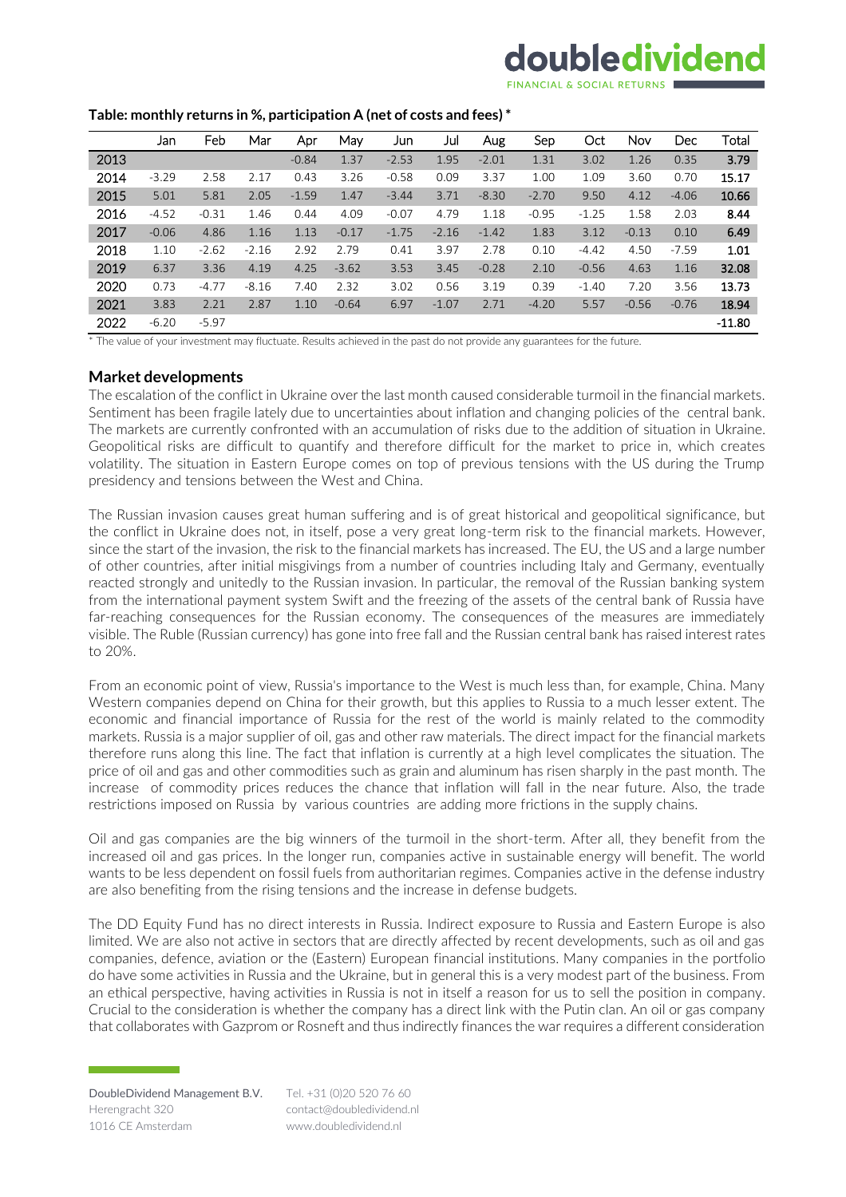## doubledividend

#### **Table: monthly returns in %, participation A (net of costs and fees) \***

|      | Jan     | Feb     | Mar     | Apr     | May     | Jun     | Jul     | Aug     | Sep     | Oct     | Nov     | Dec     | Total    |
|------|---------|---------|---------|---------|---------|---------|---------|---------|---------|---------|---------|---------|----------|
| 2013 |         |         |         | $-0.84$ | 1.37    | $-2.53$ | 1.95    | $-2.01$ | 1.31    | 3.02    | 1.26    | 0.35    | 3.79     |
| 2014 | $-3.29$ | 2.58    | 2.17    | 0.43    | 3.26    | $-0.58$ | 0.09    | 3.37    | 1.00    | 1.09    | 3.60    | 0.70    | 15.17    |
| 2015 | 5.01    | 5.81    | 2.05    | $-1.59$ | 1.47    | $-3.44$ | 3.71    | $-8.30$ | $-2.70$ | 9.50    | 4.12    | $-4.06$ | 10.66    |
| 2016 | $-4.52$ | $-0.31$ | 1.46    | 0.44    | 4.09    | $-0.07$ | 4.79    | 1.18    | $-0.95$ | $-1.25$ | 1.58    | 2.03    | 8.44     |
| 2017 | $-0.06$ | 4.86    | 1.16    | 1.13    | $-0.17$ | $-1.75$ | $-2.16$ | $-1.42$ | 1.83    | 3.12    | $-0.13$ | 0.10    | 6.49     |
| 2018 | 1.10    | $-2.62$ | $-2.16$ | 2.92    | 2.79    | 0.41    | 3.97    | 2.78    | 0.10    | $-4.42$ | 4.50    | $-7.59$ | 1.01     |
| 2019 | 6.37    | 3.36    | 4.19    | 4.25    | $-3.62$ | 3.53    | 3.45    | $-0.28$ | 2.10    | $-0.56$ | 4.63    | 1.16    | 32.08    |
| 2020 | 0.73    | $-4.77$ | $-8.16$ | 7.40    | 2.32    | 3.02    | 0.56    | 3.19    | 0.39    | $-1.40$ | 7.20    | 3.56    | 13.73    |
| 2021 | 3.83    | 2.21    | 2.87    | 1.10    | $-0.64$ | 6.97    | $-1.07$ | 2.71    | $-4.20$ | 5.57    | $-0.56$ | $-0.76$ | 18.94    |
| 2022 | $-6.20$ | $-5.97$ |         |         |         |         |         |         |         |         |         |         | $-11.80$ |

\* The value of your investment may fluctuate. Results achieved in the past do not provide any guarantees for the future.

#### **Market developments**

The escalation of the conflict in Ukraine over the last month caused considerable turmoil in the financial markets. Sentiment has been fragile lately due to uncertainties about inflation and changing policies of the central bank. The markets are currently confronted with an accumulation of risks due to the addition of situation in Ukraine. Geopolitical risks are difficult to quantify and therefore difficult for the market to price in, which creates volatility. The situation in Eastern Europe comes on top of previous tensions with the US during the Trump presidency and tensions between the West and China.

The Russian invasion causes great human suffering and is of great historical and geopolitical significance, but the conflict in Ukraine does not, in itself, pose a very great long-term risk to the financial markets. However, since the start of the invasion, the risk to the financial markets has increased. The EU, the US and a large number of other countries, after initial misgivings from a number of countries including Italy and Germany, eventually reacted strongly and unitedly to the Russian invasion. In particular, the removal of the Russian banking system from the international payment system Swift and the freezing of the assets of the central bank of Russia have far-reaching consequences for the Russian economy. The consequences of the measures are immediately visible. The Ruble (Russian currency) has gone into free fall and the Russian central bank has raised interest rates to 20%.

From an economic point of view, Russia's importance to the West is much less than, for example, China. Many Western companies depend on China for their growth, but this applies to Russia to a much lesser extent. The economic and financial importance of Russia for the rest of the world is mainly related to the commodity markets. Russia is a major supplier of oil, gas and other raw materials. The direct impact for the financial markets therefore runs along this line. The fact that inflation is currently at a high level complicates the situation. The price of oil and gas and other commodities such as grain and aluminum has risen sharply in the past month. The increase of commodity prices reduces the chance that inflation will fall in the near future. Also, the trade restrictions imposed on Russia by various countries are adding more frictions in the supply chains.

Oil and gas companies are the big winners of the turmoil in the short-term. After all, they benefit from the increased oil and gas prices. In the longer run, companies active in sustainable energy will benefit. The world wants to be less dependent on fossil fuels from authoritarian regimes. Companies active in the defense industry are also benefiting from the rising tensions and the increase in defense budgets.

The DD Equity Fund has no direct interests in Russia. Indirect exposure to Russia and Eastern Europe is also limited. We are also not active in sectors that are directly affected by recent developments, such as oil and gas companies, defence, aviation or the (Eastern) European financial institutions. Many companies in the portfolio do have some activities in Russia and the Ukraine, but in general this is a very modest part of the business. From an ethical perspective, having activities in Russia is not in itself a reason for us to sell the position in company. Crucial to the consideration is whether the company has a direct link with the Putin clan. An oil or gas company that collaborates with Gazprom or Rosneft and thus indirectly finances the war requires a different consideration

Tel. +31 (0)20 520 76 60 contact@doubledividend.nl www.doubledividend.nl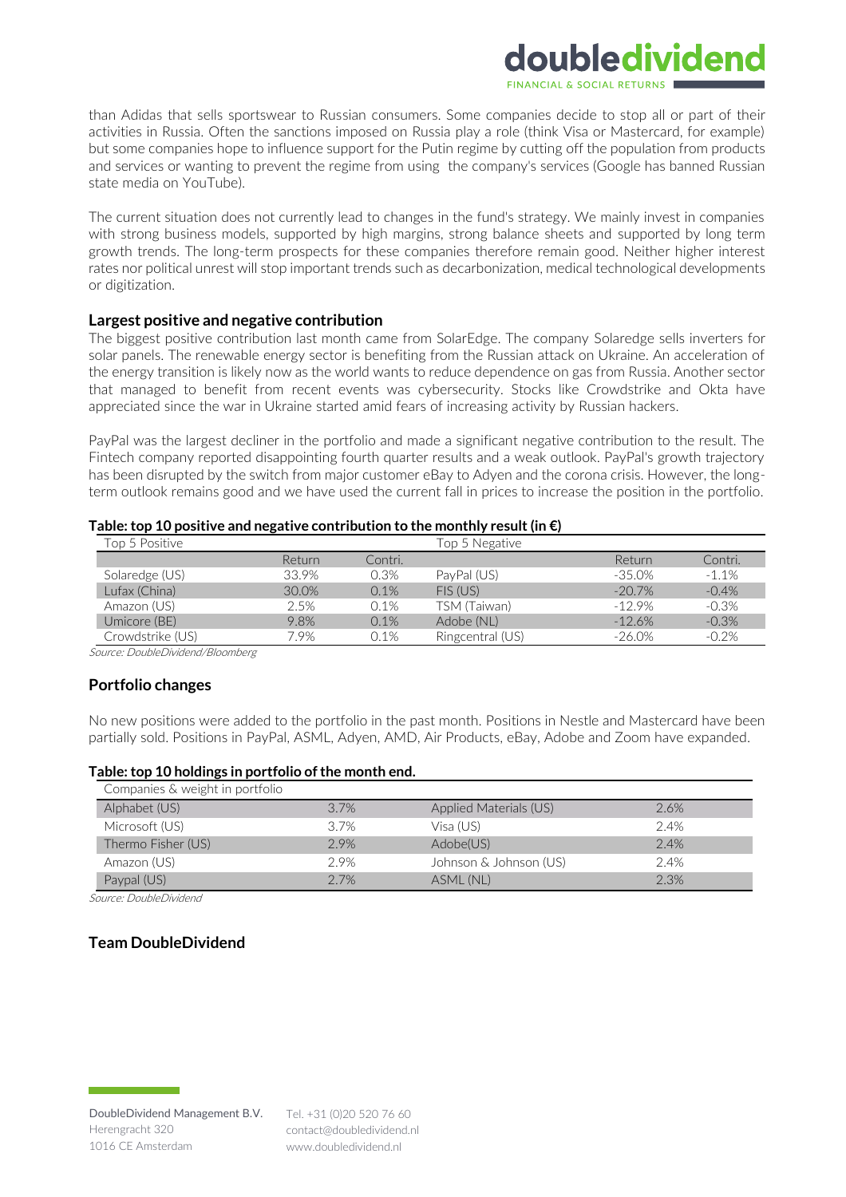#### than Adidas that sells sportswear to Russian consumers. Some companies decide to stop all or part of their activities in Russia. Often the sanctions imposed on Russia play a role (think Visa or Mastercard, for example) but some companies hope to influence support for the Putin regime by cutting off the population from products and services or wanting to prevent the regime from using the company's services (Google has banned Russian state media on YouTube).

doubledividend

The current situation does not currently lead to changes in the fund's strategy. We mainly invest in companies with strong business models, supported by high margins, strong balance sheets and supported by long term growth trends. The long-term prospects for these companies therefore remain good. Neither higher interest rates nor political unrest will stop important trends such as decarbonization, medical technological developments or digitization.

#### **Largest positive and negative contribution**

The biggest positive contribution last month came from SolarEdge. The company Solaredge sells inverters for solar panels. The renewable energy sector is benefiting from the Russian attack on Ukraine. An acceleration of the energy transition is likely now as the world wants to reduce dependence on gas from Russia. Another sector that managed to benefit from recent events was cybersecurity. Stocks like Crowdstrike and Okta have appreciated since the war in Ukraine started amid fears of increasing activity by Russian hackers.

PayPal was the largest decliner in the portfolio and made a significant negative contribution to the result. The Fintech company reported disappointing fourth quarter results and a weak outlook. PayPal's growth trajectory has been disrupted by the switch from major customer eBay to Adyen and the corona crisis. However, the longterm outlook remains good and we have used the current fall in prices to increase the position in the portfolio.

#### **Table: top 10 positive and negative contribution to the monthly result(in €)**

| Top 5 Positive   |        |         | Fop 5 Negative   |           |          |
|------------------|--------|---------|------------------|-----------|----------|
|                  | Return | Contri. |                  | Return    | Contri.  |
| Solaredge (US)   | 33.9%  | 0.3%    | PayPal (US)      | -35.0%    | $-1.1%$  |
| Lufax (China)    | 30.0%  | 0.1%    | $FIS$ (US)       | $-20.7\%$ | $-0.4%$  |
| Amazon (US)      | 2.5%   | 0.1%    | TSM (Taiwan)     | $-12.9%$  | $-0.3%$  |
| Umicore (BE)     | 9.8%   | 0.1%    | Adobe (NL)       | $-12.6%$  | $-0.3%$  |
| Crowdstrike (US) | 7.9%   | 0.1%    | Ringcentral (US) | $-26.0\%$ | $-0.2\%$ |

Source: DoubleDividend/Bloomberg

#### **Portfolio changes**

No new positions were added to the portfolio in the past month. Positions in Nestle and Mastercard have been partially sold. Positions in PayPal, ASML, Adyen, AMD, Air Products, eBay, Adobe and Zoom have expanded.

#### **Table: top 10 holdings in portfolio of the month end.**

| Companies & weight in portfolio |      |                        |      |
|---------------------------------|------|------------------------|------|
| Alphabet (US)                   | 3.7% | Applied Materials (US) | 2.6% |
| Microsoft (US)                  | 3.7% | Visa (US)              | 2.4% |
| Thermo Fisher (US)              | 2.9% | Adobe(US)              | 2.4% |
| Amazon (US)                     | 2.9% | Johnson & Johnson (US) | 2.4% |
| Paypal (US)                     | 2.7% | ASML (NL)              | 2.3% |

Source: DoubleDividend

#### **Team DoubleDividend**

Tel. +31 (0)20 520 76 60 contact@doubledividend.nl www.doubledividend.nl